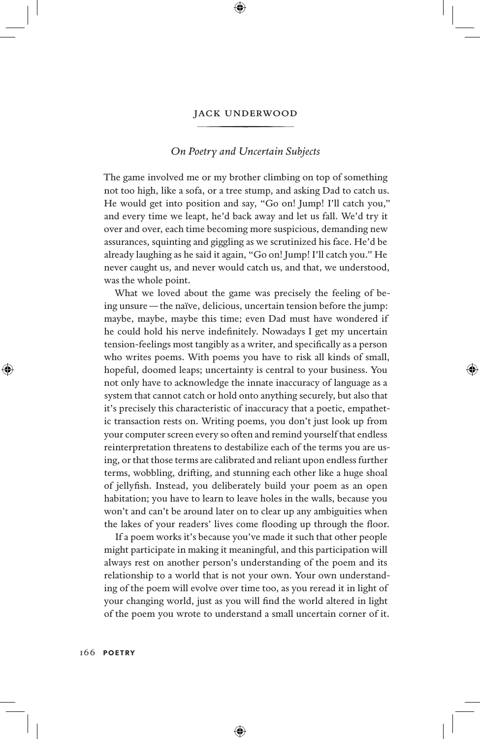## jack underwood

## *On Poetry and Uncertain Subjects*

The game involved me or my brother climbing on top of something not too high, like a sofa, or a tree stump, and asking Dad to catch us. He would get into position and say, "Go on! Jump! I'll catch you," and every time we leapt, he'd back away and let us fall. We'd try it over and over, each time becoming more suspicious, demanding new assurances, squinting and giggling as we scrutinized his face. He'd be already laughing as he said it again, "Go on! Jump! I'll catch you." He never caught us, and never would catch us, and that, we understood, was the whole point.

What we loved about the game was precisely the feeling of being unsure—the naïve, delicious, uncertain tension before the jump: maybe, maybe, maybe this time; even Dad must have wondered if he could hold his nerve indefinitely. Nowadays I get my uncertain tension-feelings most tangibly as a writer, and specifically as a person who writes poems. With poems you have to risk all kinds of small, hopeful, doomed leaps; uncertainty is central to your business. You not only have to acknowledge the innate inaccuracy of language as a system that cannot catch or hold onto anything securely, but also that it's precisely this characteristic of inaccuracy that a poetic, empathetic transaction rests on. Writing poems, you don't just look up from your computer screen every so often and remind yourself that endless reinterpretation threatens to destabilize each of the terms you are using, or that those terms are calibrated and reliant upon endless further terms, wobbling, drifting, and stunning each other like a huge shoal of jellyfish. Instead, you deliberately build your poem as an open habitation; you have to learn to leave holes in the walls, because you won't and can't be around later on to clear up any ambiguities when the lakes of your readers' lives come flooding up through the floor.

If a poem works it's because you've made it such that other people might participate in making it meaningful, and this participation will always rest on another person's understanding of the poem and its relationship to a world that is not your own. Your own understanding of the poem will evolve over time too, as you reread it in light of your changing world, just as you will find the world altered in light of the poem you wrote to understand a small uncertain corner of it.

⊕

↔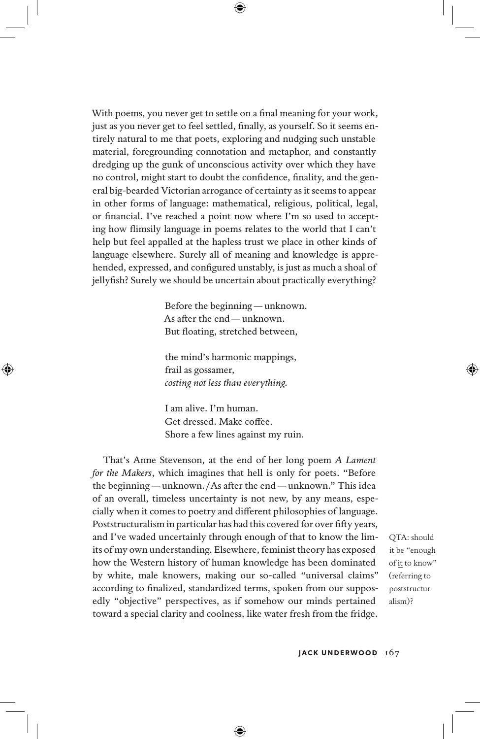With poems, you never get to settle on a final meaning for your work, just as you never get to feel settled, finally, as yourself. So it seems entirely natural to me that poets, exploring and nudging such unstable material, foregrounding connotation and metaphor, and constantly dredging up the gunk of unconscious activity over which they have no control, might start to doubt the confidence, finality, and the general big-bearded Victorian arrogance of certainty as it seems to appear in other forms of language: mathematical, religious, political, legal, or financial. I've reached a point now where I'm so used to accepting how flimsily language in poems relates to the world that I can't help but feel appalled at the hapless trust we place in other kinds of language elsewhere. Surely all of meaning and knowledge is apprehended, expressed, and configured unstably, is just as much a shoal of jellyfish? Surely we should be uncertain about practically everything?

⊕

Before the beginning—unknown. As after the end—unknown. But floating, stretched between,

the mind's harmonic mappings, frail as gossamer, *costing not less than everything.*

⊕

I am alive. I'm human. Get dressed. Make coffee. Shore a few lines against my ruin.

That's Anne Stevenson, at the end of her long poem *A Lament for the Makers*, which imagines that hell is only for poets. "Before the beginning—unknown. /As after the end—unknown." This idea of an overall, timeless uncertainty is not new, by any means, especially when it comes to poetry and different philosophies of language. Poststructuralism in particular has had this covered for over fifty years, and I've waded uncertainly through enough of that to know the limits of my own understanding. Elsewhere, feminist theory has exposed how the Western history of human knowledge has been dominated by white, male knowers, making our so-called "universal claims" according to finalized, standardized terms, spoken from our supposedly "objective" perspectives, as if somehow our minds pertained toward a special clarity and coolness, like water fresh from the fridge.

⊕

QTA: should it be "enough of it to know" (referring to poststructuralism)?

↔

**JACK UNDERWOOD** 167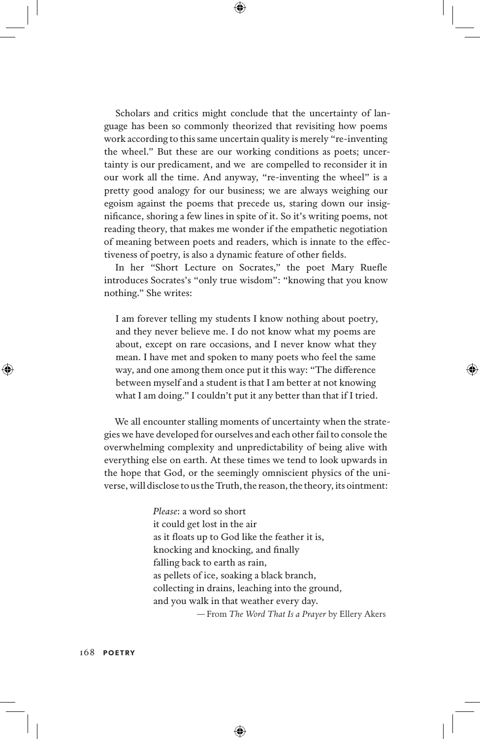Scholars and critics might conclude that the uncertainty of language has been so commonly theorized that revisiting how poems work according to this same uncertain quality is merely "re-inventing the wheel." But these are our working conditions as poets; uncertainty is our predicament, and we are compelled to reconsider it in our work all the time. And anyway, "re-inventing the wheel" is a pretty good analogy for our business; we are always weighing our egoism against the poems that precede us, staring down our insignificance, shoring a few lines in spite of it. So it's writing poems, not reading theory, that makes me wonder if the empathetic negotiation of meaning between poets and readers, which is innate to the effectiveness of poetry, is also a dynamic feature of other fields.

⊕

In her "Short Lecture on Socrates," the poet Mary Ruefle introduces Socrates's "only true wisdom": "knowing that you know nothing." She writes:

I am forever telling my students I know nothing about poetry, and they never believe me. I do not know what my poems are about, except on rare occasions, and I never know what they mean. I have met and spoken to many poets who feel the same way, and one among them once put it this way: "The difference between myself and a student is that I am better at not knowing what I am doing." I couldn't put it any better than that if I tried.

↔

We all encounter stalling moments of uncertainty when the strategies we have developed for ourselves and each other fail to console the overwhelming complexity and unpredictability of being alive with everything else on earth. At these times we tend to look upwards in the hope that God, or the seemingly omniscient physics of the universe, will disclose to us the Truth, the reason, the theory, its ointment:

> *Please*: a word so short it could get lost in the air as it floats up to God like the feather it is, knocking and knocking, and finally falling back to earth as rain, as pellets of ice, soaking a black branch, collecting in drains, leaching into the ground, and you walk in that weather every day. *—*From *The Word That Is a Prayer* by Ellery Akers

> > ⊕

168 **POETRY**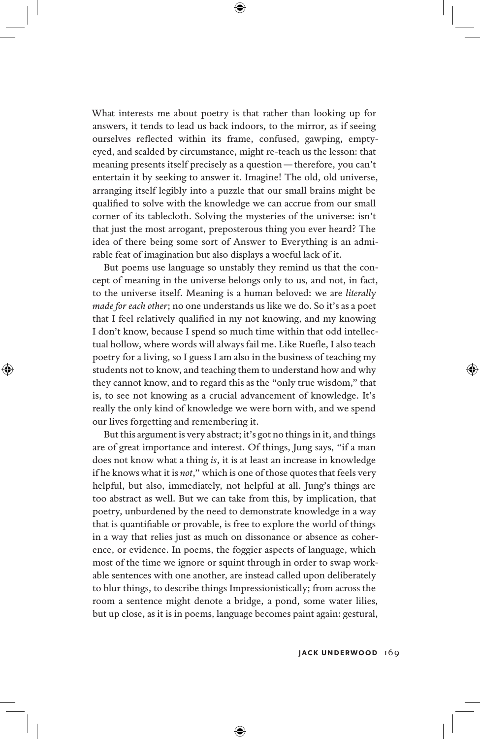What interests me about poetry is that rather than looking up for answers, it tends to lead us back indoors, to the mirror, as if seeing ourselves reflected within its frame, confused, gawping, emptyeyed, and scalded by circumstance, might re-teach us the lesson: that meaning presents itself precisely as a question—therefore, you can't entertain it by seeking to answer it. Imagine! The old, old universe, arranging itself legibly into a puzzle that our small brains might be qualified to solve with the knowledge we can accrue from our small corner of its tablecloth. Solving the mysteries of the universe: isn't that just the most arrogant, preposterous thing you ever heard? The idea of there being some sort of Answer to Everything is an admirable feat of imagination but also displays a woeful lack of it.

⊕

But poems use language so unstably they remind us that the concept of meaning in the universe belongs only to us, and not, in fact, to the universe itself. Meaning is a human beloved: we are *literally made for each other*; no one understands us like we do. So it's as a poet that I feel relatively qualified in my not knowing, and my knowing I don't know, because I spend so much time within that odd intellectual hollow, where words will always fail me. Like Ruefle, I also teach poetry for a living, so I guess I am also in the business of teaching my students not to know, and teaching them to understand how and why they cannot know, and to regard this as the "only true wisdom," that is, to see not knowing as a crucial advancement of knowledge. It's really the only kind of knowledge we were born with, and we spend our lives forgetting and remembering it.

⊕

But this argument is very abstract; it's got no things in it, and things are of great importance and interest. Of things, Jung says, "if a man does not know what a thing *is*, it is at least an increase in knowledge if he knows what it is *not*," which is one of those quotes that feels very helpful, but also, immediately, not helpful at all. Jung's things are too abstract as well. But we can take from this, by implication, that poetry, unburdened by the need to demonstrate knowledge in a way that is quantifiable or provable, is free to explore the world of things in a way that relies just as much on dissonance or absence as coherence, or evidence. In poems, the foggier aspects of language, which most of the time we ignore or squint through in order to swap workable sentences with one another, are instead called upon deliberately to blur things, to describe things Impressionistically; from across the room a sentence might denote a bridge, a pond, some water lilies, but up close, as it is in poems, language becomes paint again: gestural,

⊕

**JACK UNDERWOOD** 169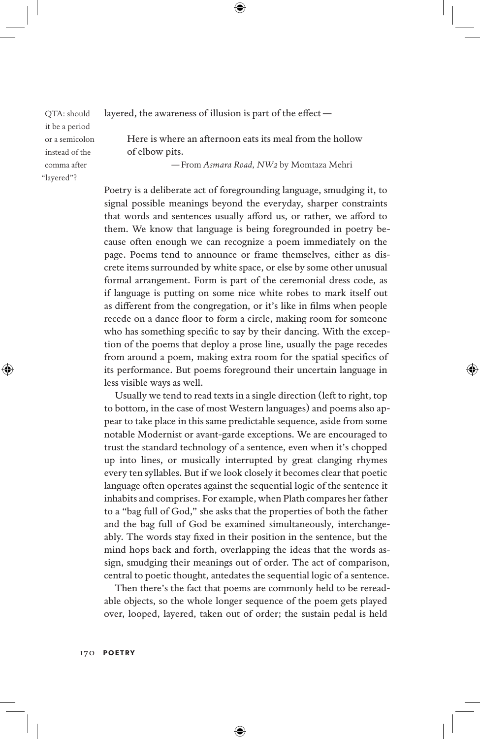⊕

QTA: should it be a period or a semicolon instead of the comma after "layered"?

⊕

Here is where an afternoon eats its meal from the hollow of elbow pits.

layered, the awareness of illusion is part of the effect—

*—*From *Asmara Road, NW2* by Momtaza Mehri

Poetry is a deliberate act of foregrounding language, smudging it, to signal possible meanings beyond the everyday, sharper constraints that words and sentences usually afford us, or rather, we afford to them. We know that language is being foregrounded in poetry because often enough we can recognize a poem immediately on the page. Poems tend to announce or frame themselves, either as discrete items surrounded by white space, or else by some other unusual formal arrangement. Form is part of the ceremonial dress code, as if language is putting on some nice white robes to mark itself out as different from the congregation, or it's like in films when people recede on a dance floor to form a circle, making room for someone who has something specific to say by their dancing. With the exception of the poems that deploy a prose line, usually the page recedes from around a poem, making extra room for the spatial specifics of its performance. But poems foreground their uncertain language in less visible ways as well.

↔

Usually we tend to read texts in a single direction (left to right, top to bottom, in the case of most Western languages) and poems also appear to take place in this same predictable sequence, aside from some notable Modernist or avant-garde exceptions. We are encouraged to trust the standard technology of a sentence, even when it's chopped up into lines, or musically interrupted by great clanging rhymes every ten syllables. But if we look closely it becomes clear that poetic language often operates against the sequential logic of the sentence it inhabits and comprises. For example, when Plath compares her father to a "bag full of God," she asks that the properties of both the father and the bag full of God be examined simultaneously, interchangeably. The words stay fixed in their position in the sentence, but the mind hops back and forth, overlapping the ideas that the words assign, smudging their meanings out of order. The act of comparison, central to poetic thought, antedates the sequential logic of a sentence.

Then there's the fact that poems are commonly held to be rereadable objects, so the whole longer sequence of the poem gets played over, looped, layered, taken out of order; the sustain pedal is held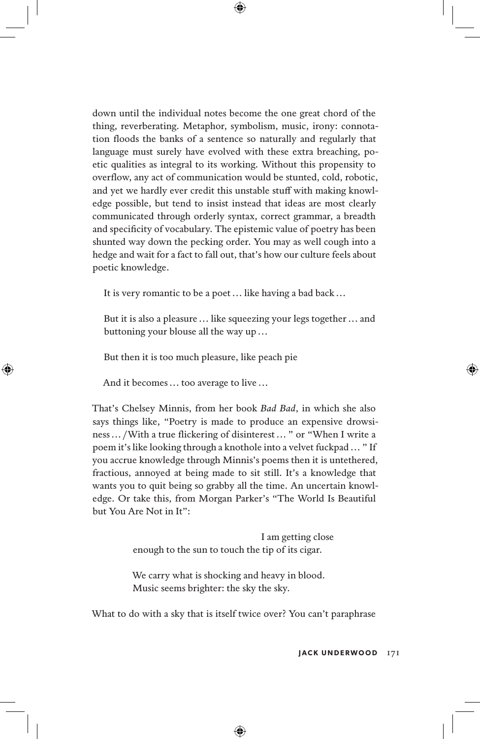down until the individual notes become the one great chord of the thing, reverberating. Metaphor, symbolism, music, irony: connotation floods the banks of a sentence so naturally and regularly that language must surely have evolved with these extra breaching, poetic qualities as integral to its working. Without this propensity to overflow, any act of communication would be stunted, cold, robotic, and yet we hardly ever credit this unstable stuff with making knowledge possible, but tend to insist instead that ideas are most clearly communicated through orderly syntax, correct grammar, a breadth and specificity of vocabulary. The epistemic value of poetry has been shunted way down the pecking order. You may as well cough into a hedge and wait for a fact to fall out, that's how our culture feels about poetic knowledge.

⊕

It is very romantic to be a poet ... like having a bad back ...

But it is also a pleasure ... like squeezing your legs together ... and buttoning your blouse all the way up ...

But then it is too much pleasure, like peach pie

And it becomes ... too average to live ...

⊕

That's Chelsey Minnis, from her book *Bad Bad*, in which she also says things like, "Poetry is made to produce an expensive drowsiness ... /With a true flickering of disinterest ... " or "When I write a poem it's like looking through a knothole into a velvet fuckpad ... " If you accrue knowledge through Minnis's poems then it is untethered, fractious, annoyed at being made to sit still. It's a knowledge that wants you to quit being so grabby all the time. An uncertain knowledge. Or take this, from Morgan Parker's "The World Is Beautiful but You Are Not in It":

> I am getting close enough to the sun to touch the tip of its cigar.

We carry what is shocking and heavy in blood. Music seems brighter: the sky the sky.

What to do with a sky that is itself twice over? You can't paraphrase

⊕

## **JACK UNDERWOOD** 171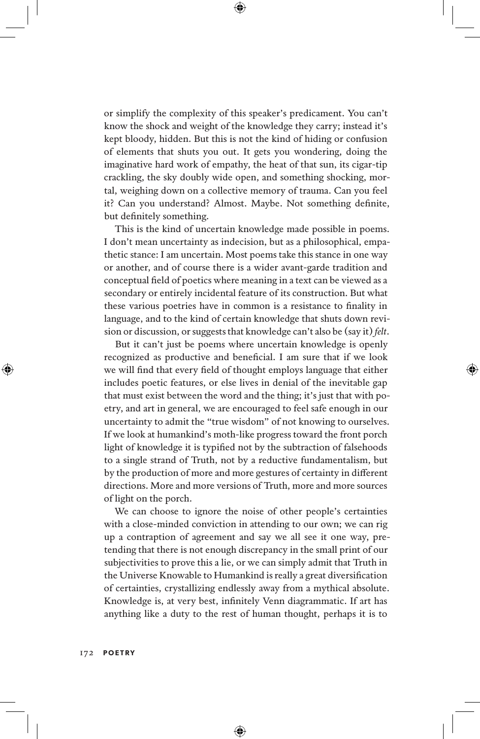or simplify the complexity of this speaker's predicament. You can't know the shock and weight of the knowledge they carry; instead it's kept bloody, hidden. But this is not the kind of hiding or confusion of elements that shuts you out. It gets you wondering, doing the imaginative hard work of empathy, the heat of that sun, its cigar-tip crackling, the sky doubly wide open, and something shocking, mortal, weighing down on a collective memory of trauma. Can you feel it? Can you understand? Almost. Maybe. Not something definite, but definitely something.

⊕

This is the kind of uncertain knowledge made possible in poems. I don't mean uncertainty as indecision, but as a philosophical, empathetic stance: I am uncertain. Most poems take this stance in one way or another, and of course there is a wider avant-garde tradition and conceptual field of poetics where meaning in a text can be viewed as a secondary or entirely incidental feature of its construction. But what these various poetries have in common is a resistance to finality in language, and to the kind of certain knowledge that shuts down revision or discussion, or suggests that knowledge can't also be (say it) *felt*.

But it can't just be poems where uncertain knowledge is openly recognized as productive and beneficial. I am sure that if we look we will find that every field of thought employs language that either includes poetic features, or else lives in denial of the inevitable gap that must exist between the word and the thing; it's just that with poetry, and art in general, we are encouraged to feel safe enough in our uncertainty to admit the "true wisdom" of not knowing to ourselves. If we look at humankind's moth-like progress toward the front porch light of knowledge it is typified not by the subtraction of falsehoods to a single strand of Truth, not by a reductive fundamentalism, but by the production of more and more gestures of certainty in different directions. More and more versions of Truth, more and more sources of light on the porch.

⊕

We can choose to ignore the noise of other people's certainties with a close-minded conviction in attending to our own; we can rig up a contraption of agreement and say we all see it one way, pretending that there is not enough discrepancy in the small print of our subjectivities to prove this a lie, or we can simply admit that Truth in the Universe Knowable to Humankind is really a great diversification of certainties, crystallizing endlessly away from a mythical absolute. Knowledge is, at very best, infinitely Venn diagrammatic. If art has anything like a duty to the rest of human thought, perhaps it is to

⊕

↔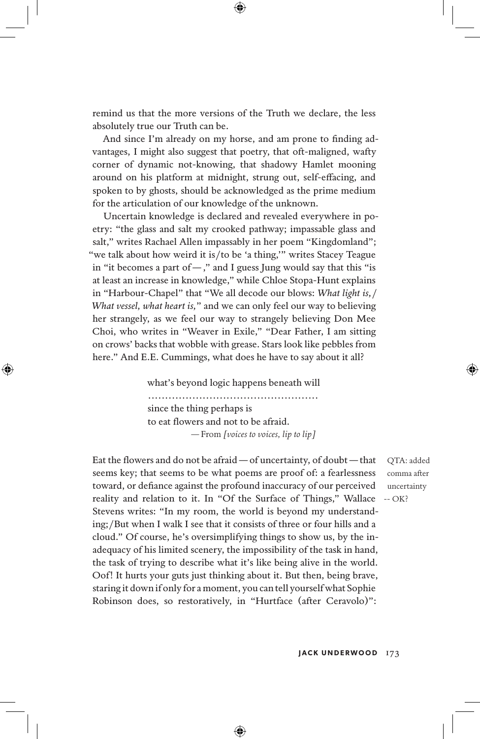remind us that the more versions of the Truth we declare, the less absolutely true our Truth can be.

⊕

And since I'm already on my horse, and am prone to finding advantages, I might also suggest that poetry, that oft-maligned, wafty corner of dynamic not-knowing, that shadowy Hamlet mooning around on his platform at midnight, strung out, self-effacing, and spoken to by ghosts, should be acknowledged as the prime medium for the articulation of our knowledge of the unknown.

Uncertain knowledge is declared and revealed everywhere in poetry: "the glass and salt my crooked pathway; impassable glass and salt," writes Rachael Allen impassably in her poem "Kingdomland"; "we talk about how weird it is/to be 'a thing,"" writes Stacey Teague in "it becomes a part of  $-$ ," and I guess Jung would say that this "is at least an increase in knowledge," while Chloe Stopa-Hunt explains in "Harbour-Chapel" that "We all decode our blows: *What light is,* / *What vessel, what heart is,*" and we can only feel our way to believing her strangely, as we feel our way to strangely believing Don Mee Choi, who writes in "Weaver in Exile," "Dear Father, I am sitting on crows' backs that wobble with grease. Stars look like pebbles from here." And E.E. Cummings, what does he have to say about it all?

> what's beyond logic happens beneath will .................................................. since the thing perhaps is to eat flowers and not to be afraid. *—*From *[voices to voices, lip to lip]*

⊕

Eat the flowers and do not be afraid—of uncertainty, of doubt—that seems key; that seems to be what poems are proof of: a fearlessness toward, or defiance against the profound inaccuracy of our perceived reality and relation to it. In "Of the Surface of Things," Wallace -- OK? Stevens writes: "In my room, the world is beyond my understanding; /But when I walk I see that it consists of three or four hills and a cloud." Of course, he's oversimplifying things to show us, by the inadequacy of his limited scenery, the impossibility of the task in hand, the task of trying to describe what it's like being alive in the world. Oof! It hurts your guts just thinking about it. But then, being brave, staring it down if only for a moment, you can tell yourself what Sophie Robinson does, so restoratively, in "Hurtface (after Ceravolo)":

⊕

QTA: added comma after uncertainty

↔

**JACK UNDERWOOD** 173